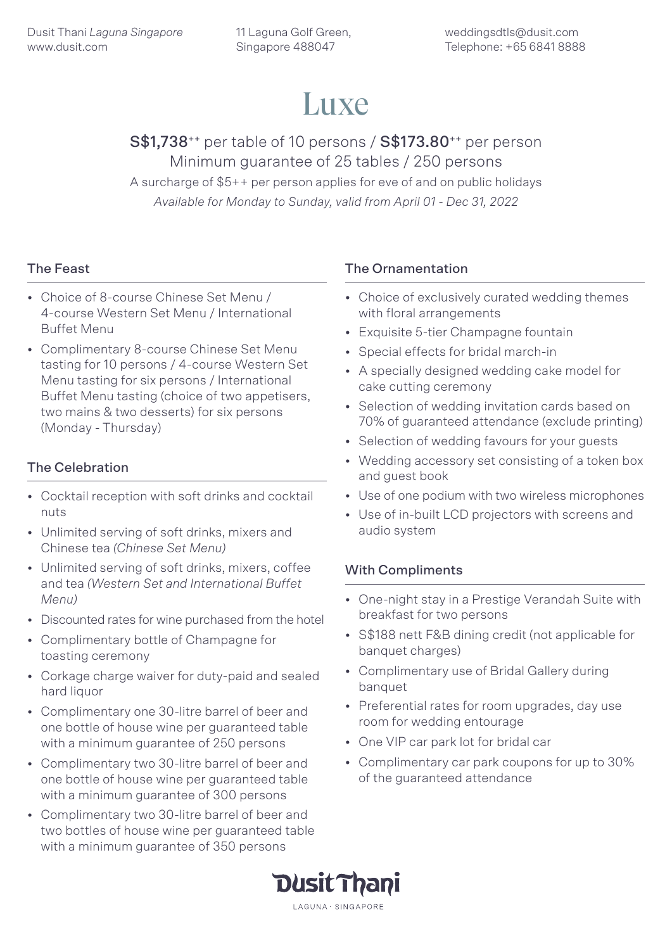# Luxe

# S\$1,738<sup>++</sup> per table of 10 persons / S\$173.80<sup>++</sup> per person Minimum guarantee of 25 tables / 250 persons

A surcharge of \$5++ per person applies for eve of and on public holidays *Available for Monday to Sunday, valid from April 01 - Dec 31, 2022*

# The Feast

- Choice of 8-course Chinese Set Menu / 4-course Western Set Menu / International Buffet Menu
- Complimentary 8-course Chinese Set Menu tasting for 10 persons / 4-course Western Set Menu tasting for six persons / International Buffet Menu tasting (choice of two appetisers, two mains & two desserts) for six persons (Monday - Thursday)

# The Celebration

- Cocktail reception with soft drinks and cocktail nuts
- Unlimited serving of soft drinks, mixers and Chinese tea *(Chinese Set Menu)*
- Unlimited serving of soft drinks, mixers, coffee and tea *(Western Set and International Buffet Menu)*
- Discounted rates for wine purchased from the hotel
- Complimentary bottle of Champagne for toasting ceremony
- Corkage charge waiver for duty-paid and sealed hard liquor
- Complimentary one 30-litre barrel of beer and one bottle of house wine per guaranteed table with a minimum guarantee of 250 persons
- Complimentary two 30-litre barrel of beer and one bottle of house wine per guaranteed table with a minimum guarantee of 300 persons
- Complimentary two 30-litre barrel of beer and two bottles of house wine per guaranteed table with a minimum guarantee of 350 persons

### The Ornamentation

- Choice of exclusively curated wedding themes with floral arrangements
- Exquisite 5-tier Champagne fountain
- Special effects for bridal march-in
- A specially designed wedding cake model for cake cutting ceremony
- Selection of wedding invitation cards based on 70% of guaranteed attendance (exclude printing)
- Selection of wedding favours for your guests
- Wedding accessory set consisting of a token box and guest book
- Use of one podium with two wireless microphones
- Use of in-built LCD projectors with screens and audio system

### With Compliments

- One-night stay in a Prestige Verandah Suite with breakfast for two persons
- S\$188 nett F&B dining credit (not applicable for banquet charges)
- Complimentary use of Bridal Gallery during banquet
- Preferential rates for room upgrades, day use room for wedding entourage
- One VIP car park lot for bridal car
- Complimentary car park coupons for up to 30% of the guaranteed attendance

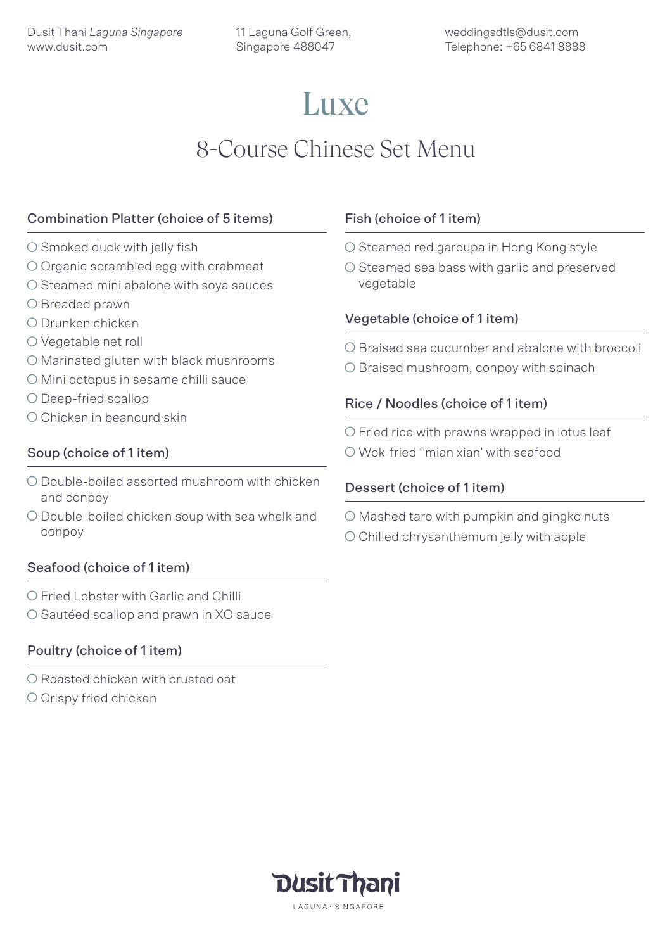# **Luxe** 8-Course Chinese Set Menu

# Combination Platter (choice of 5 items)

- $\circ$  Smoked duck with jelly fish
- O Organic scrambled egg with crabmeat
- $\bigcirc$  Steamed mini abalone with sova sauces
- O Breaded prawn
- Drunken chicken
- O Vegetable net roll
- O Marinated gluten with black mushrooms
- O Mini octopus in sesame chilli sauce
- O Deep-fried scallop
- O Chicken in beancurd skin

### Soup (choice of 1 item)

- O Double-boiled assorted mushroom with chicken and conpoy
- O Double-boiled chicken soup with sea whelk and conpoy

# Seafood (choice of 1 item)

- O Fried Lobster with Garlic and Chilli
- O Sautéed scallop and prawn in XO sauce

# Poultry (choice of 1 item)

- O Roasted chicken with crusted oat
- O Crispy fried chicken

### Fish (choice of 1 item)

- O Steamed red garoupa in Hong Kong style
- $\circ$  Steamed sea bass with garlic and preserved vegetable

### Vegetable (choice of 1 item)

O Braised sea cucumber and abalone with broccoli

O Braised mushroom, conpoy with spinach

### Rice / Noodles (choice of 1 item)

 $\circ$  Fried rice with prawns wrapped in lotus leaf

Wok-fried ''mian xian' with seafood

### Dessert (choice of 1 item)

 $\bigcirc$  Mashed taro with pumpkin and gingko nuts  $\circ$  Chilled chrysanthemum jelly with apple

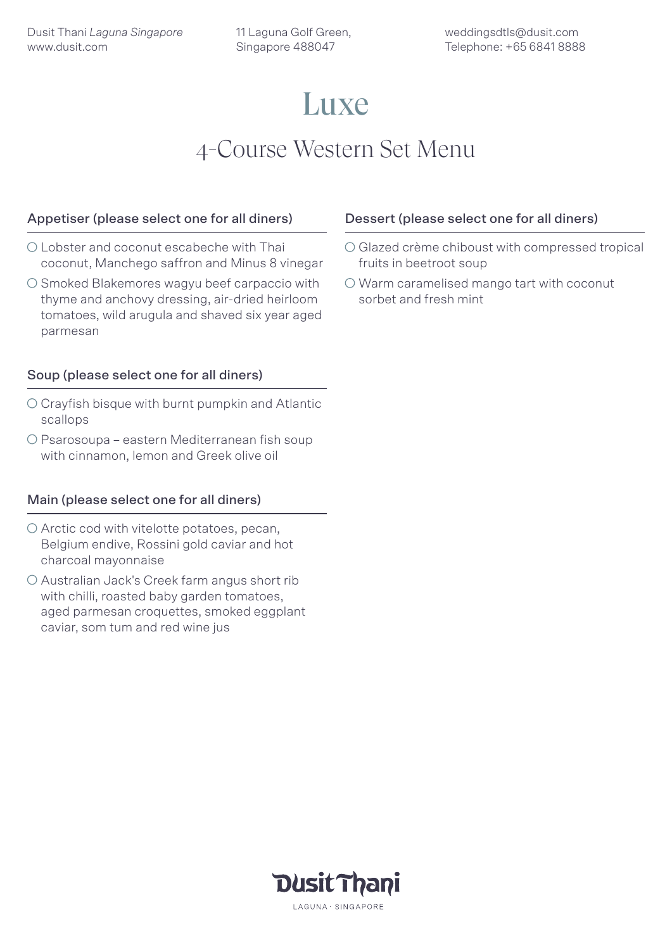# Luxe

# 4-Course Western Set Menu

### Appetiser (please select one for all diners)

- Lobster and coconut escabeche with Thai coconut, Manchego saffron and Minus 8 vinegar
- O Smoked Blakemores wagyu beef carpaccio with thyme and anchovy dressing, air-dried heirloom tomatoes, wild arugula and shaved six year aged parmesan

# Soup (please select one for all diners)

- Crayfish bisque with burnt pumpkin and Atlantic scallops
- Psarosoupa eastern Mediterranean fish soup with cinnamon, lemon and Greek olive oil

### Main (please select one for all diners)

- O Arctic cod with vitelotte potatoes, pecan, Belgium endive, Rossini gold caviar and hot charcoal mayonnaise
- O Australian Jack's Creek farm angus short rib with chilli, roasted baby garden tomatoes, aged parmesan croquettes, smoked eggplant caviar, som tum and red wine ius

#### Dessert (please select one for all diners)

- Glazed crème chiboust with compressed tropical fruits in beetroot soup
- O Warm caramelised mango tart with coconut sorbet and fresh mint